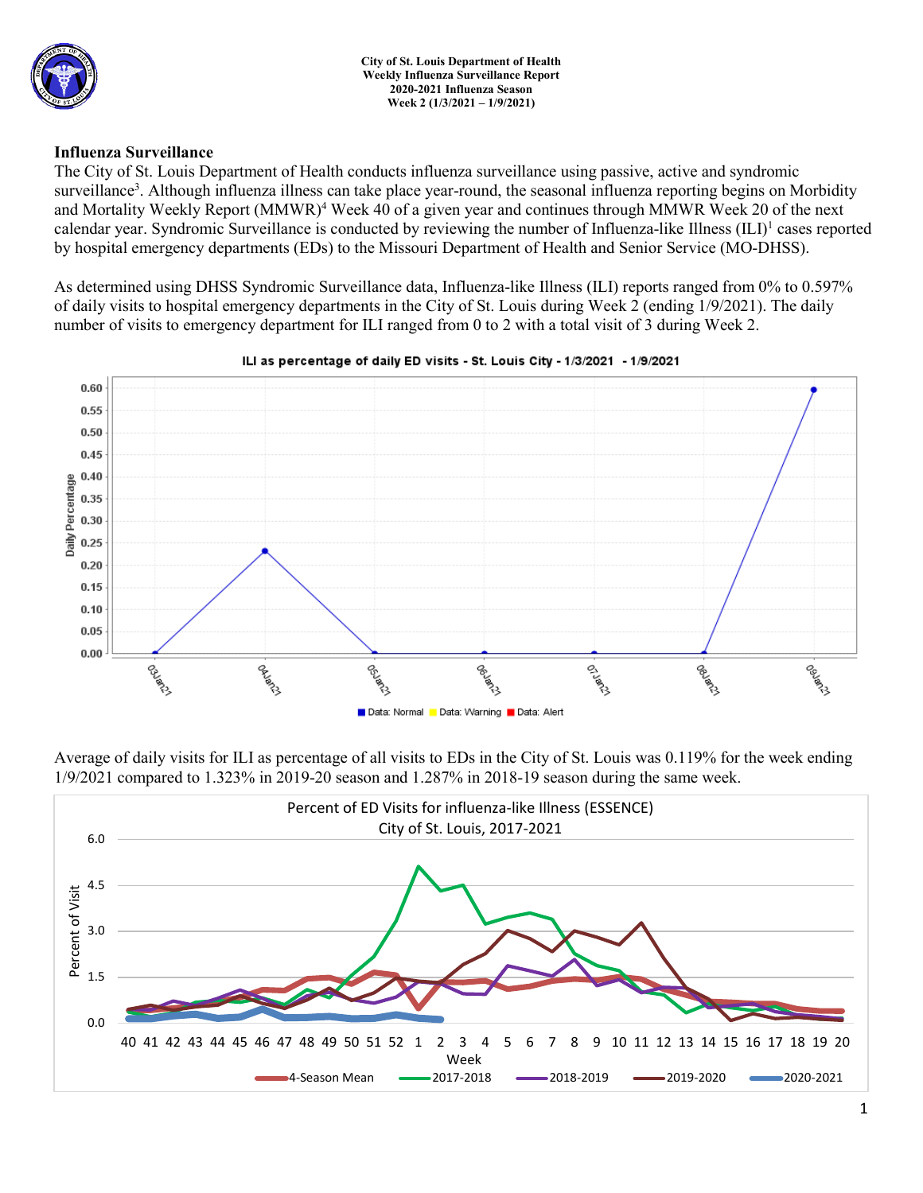

## **Influenza Surveillance**

The City of St. Louis Department of Health conducts influenza surveillance using passive, active and syndromic surveillance<sup>3</sup>. Although influenza illness can take place year-round, the seasonal influenza reporting begins on Morbidity and Mortality Weekly Report (MMWR)<sup>4</sup> Week 40 of a given year and continues through MMWR Week 20 of the next calendar year. Syndromic Surveillance is conducted by reviewing the number of Influenza-like Illness  $(ILI)^1$  cases reported by hospital emergency departments (EDs) to the Missouri Department of Health and Senior Service (MO-DHSS).

As determined using DHSS Syndromic Surveillance data, Influenza-like Illness (ILI) reports ranged from 0% to 0.597% of daily visits to hospital emergency departments in the City of St. Louis during Week 2 (ending 1/9/2021). The daily number of visits to emergency department for ILI ranged from 0 to 2 with a total visit of 3 during Week 2.



## ILI as percentage of daily ED visits - St. Louis City - 1/3/2021 - 1/9/2021

Average of daily visits for ILI as percentage of all visits to EDs in the City of St. Louis was 0.119% for the week ending 1/9/2021 compared to 1.323% in 2019-20 season and 1.287% in 2018-19 season during the same week.

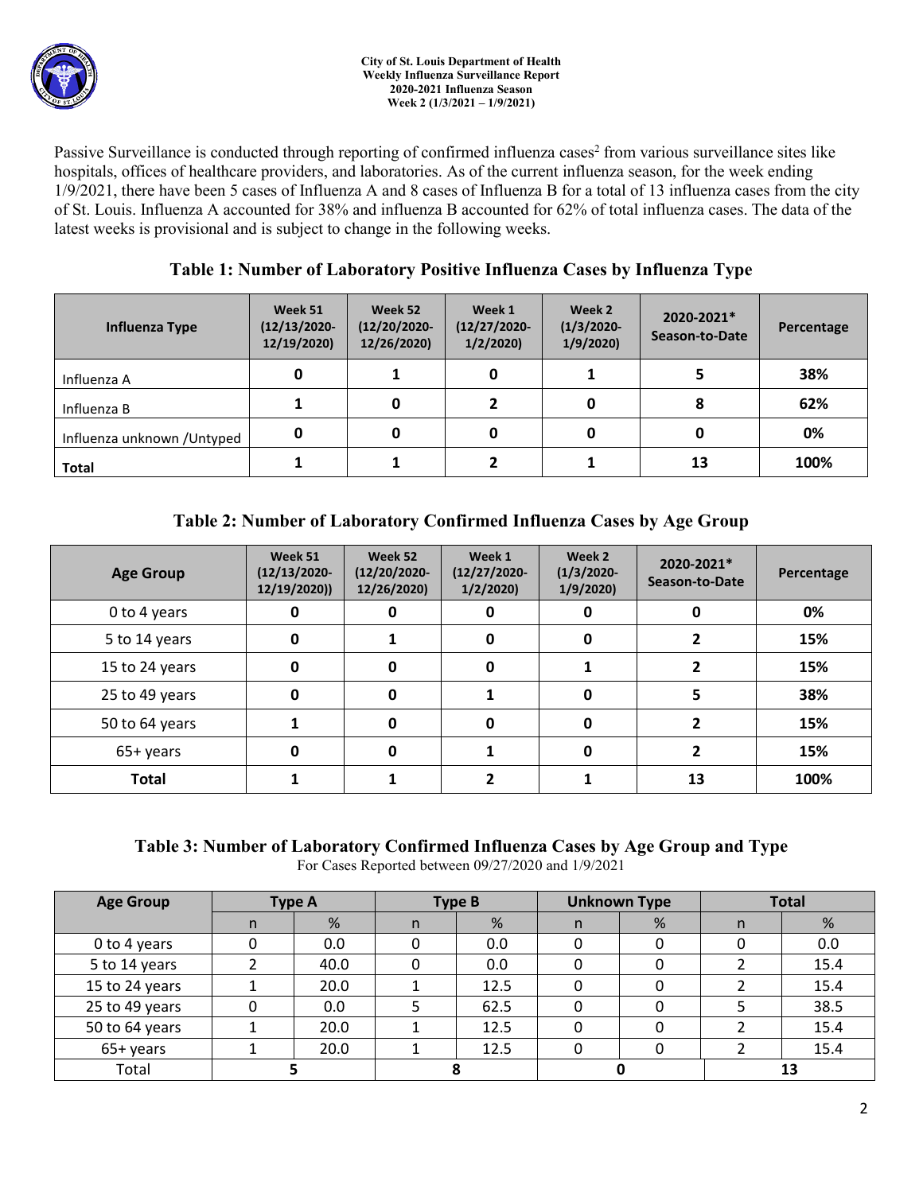Passive Surveillance is conducted through reporting of confirmed influenza cases<sup>2</sup> from various surveillance sites like hospitals, offices of healthcare providers, and laboratories. As of the current influenza season, for the week ending 1/9/2021, there have been 5 cases of Influenza A and 8 cases of Influenza B for a total of 13 influenza cases from the city of St. Louis. Influenza A accounted for 38% and influenza B accounted for 62% of total influenza cases. The data of the latest weeks is provisional and is subject to change in the following weeks.

## **Table 1: Number of Laboratory Positive Influenza Cases by Influenza Type**

| Influenza Type              | Week 51<br>$(12/13/2020 -$<br>12/19/2020) | Week 52<br>$(12/20/2020 -$<br>12/26/2020) | Week 1<br>$(12/27/2020 -$<br>1/2/2020 | Week 2<br>$(1/3/2020 -$<br>1/9/2020 | 2020-2021*<br>Season-to-Date | Percentage |
|-----------------------------|-------------------------------------------|-------------------------------------------|---------------------------------------|-------------------------------------|------------------------------|------------|
| Influenza A                 | 0                                         |                                           | 0                                     |                                     |                              | 38%        |
| Influenza B                 |                                           | 0                                         |                                       | 0                                   | 8                            | 62%        |
| Influenza unknown / Untyped | 0                                         |                                           | 0                                     |                                     |                              | 0%         |
| <b>Total</b>                |                                           |                                           |                                       |                                     | 13                           | 100%       |

# **Table 2: Number of Laboratory Confirmed Influenza Cases by Age Group**

| <b>Age Group</b> | Week 51<br>$(12/13/2020 -$<br>12/19/2020) | Week 52<br>$(12/20/2020 -$<br>12/26/2020) | Week 1<br>$(12/27/2020 -$<br>1/2/2020 | Week 2<br>$(1/3/2020 -$<br>1/9/2020 | 2020-2021*<br>Season-to-Date | Percentage |
|------------------|-------------------------------------------|-------------------------------------------|---------------------------------------|-------------------------------------|------------------------------|------------|
| 0 to 4 years     | 0                                         |                                           | 0                                     | 0                                   |                              | 0%         |
| 5 to 14 years    | 0                                         |                                           | 0                                     | $\Omega$                            |                              | 15%        |
| 15 to 24 years   | 0                                         | O                                         | 0                                     |                                     |                              | 15%        |
| 25 to 49 years   | 0                                         | 0                                         |                                       | $\mathbf{0}$                        | 5                            | 38%        |
| 50 to 64 years   |                                           | U                                         | 0                                     | $\Omega$                            |                              | 15%        |
| 65+ years        | 0                                         | Ω                                         |                                       | O                                   |                              | 15%        |
| <b>Total</b>     |                                           |                                           |                                       |                                     | 13                           | 100%       |

# **Table 3: Number of Laboratory Confirmed Influenza Cases by Age Group and Type**

For Cases Reported between 09/27/2020 and 1/9/2021

| <b>Age Group</b> | <b>Type A</b> |      | <b>Type B</b> |      | <b>Unknown Type</b> |   | <b>Total</b> |      |
|------------------|---------------|------|---------------|------|---------------------|---|--------------|------|
|                  |               | %    | n             | %    | n                   | % | n            | %    |
| 0 to 4 years     |               | 0.0  |               | 0.0  |                     |   |              | 0.0  |
| 5 to 14 years    |               | 40.0 |               | 0.0  |                     |   |              | 15.4 |
| 15 to 24 years   |               | 20.0 |               | 12.5 |                     |   |              | 15.4 |
| 25 to 49 years   |               | 0.0  |               | 62.5 |                     |   |              | 38.5 |
| 50 to 64 years   |               | 20.0 |               | 12.5 |                     |   |              | 15.4 |
| 65+ years        |               | 20.0 |               | 12.5 |                     |   |              | 15.4 |
| Total            |               |      | o             |      |                     |   |              |      |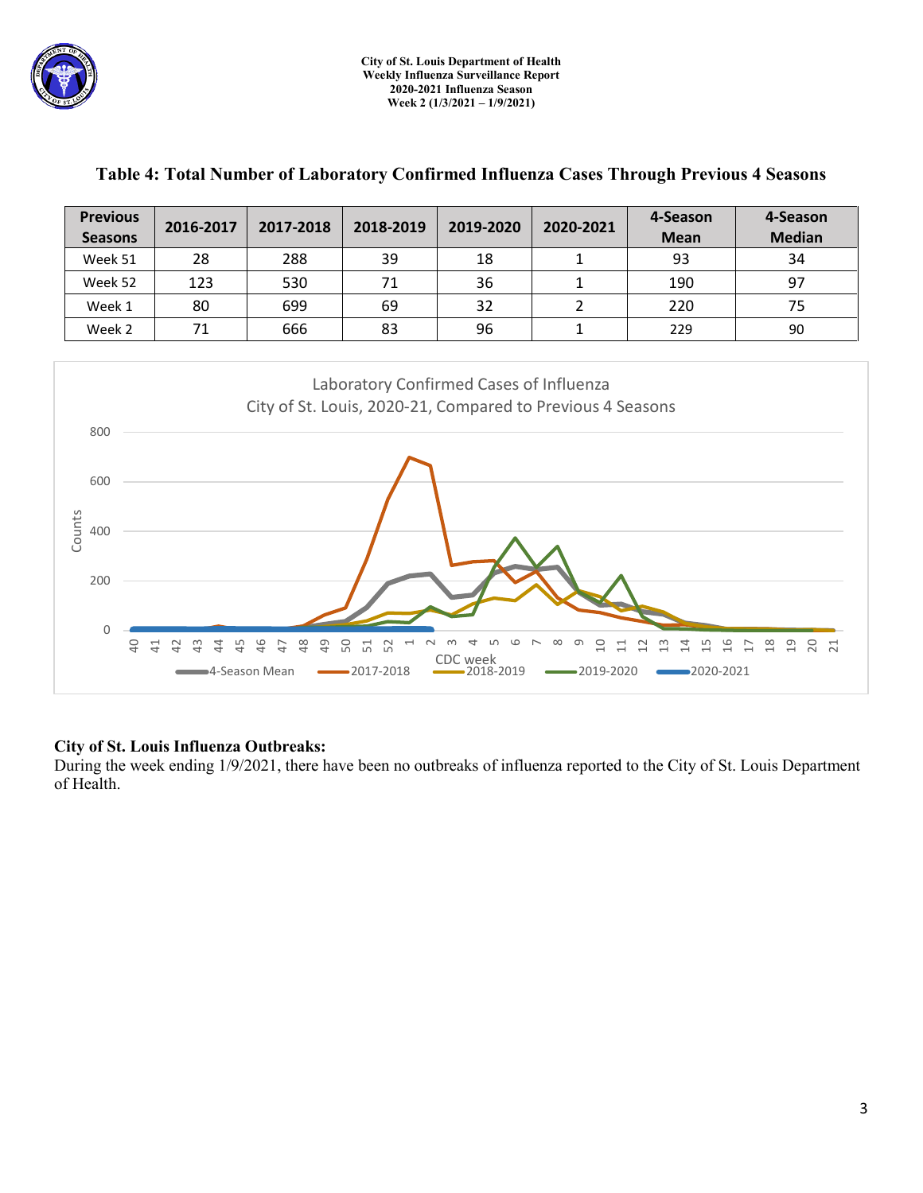

| <b>Previous</b><br><b>Seasons</b>                         | 2016-2017                                                                                                                                                                                                                                                                                                                                                                                                                                                                                                                | 2017-2018 | 2018-2019 | 2019-2020 | 2020-2021      | 4-Season<br><b>Mean</b> | 4-Season<br><b>Median</b> |  |  |  |
|-----------------------------------------------------------|--------------------------------------------------------------------------------------------------------------------------------------------------------------------------------------------------------------------------------------------------------------------------------------------------------------------------------------------------------------------------------------------------------------------------------------------------------------------------------------------------------------------------|-----------|-----------|-----------|----------------|-------------------------|---------------------------|--|--|--|
| Week 51                                                   | 28                                                                                                                                                                                                                                                                                                                                                                                                                                                                                                                       | 288       | 39        | 18        | 1              | 93                      | 34                        |  |  |  |
| Week 52                                                   | 123                                                                                                                                                                                                                                                                                                                                                                                                                                                                                                                      | 530       | 71        | 36        | $\mathbf 1$    | 190                     | 97                        |  |  |  |
| Week 1                                                    | 80                                                                                                                                                                                                                                                                                                                                                                                                                                                                                                                       | 699       | 69        | 32        | $\overline{2}$ | 220                     | 75                        |  |  |  |
| Week 2                                                    | 71                                                                                                                                                                                                                                                                                                                                                                                                                                                                                                                       | 666       | 83        | 96        | 1              | 229                     | 90                        |  |  |  |
| 800<br>600<br>Counts<br>400<br>200<br>0<br>$\overline{a}$ | Laboratory Confirmed Cases of Influenza<br>City of St. Louis, 2020-21, Compared to Previous 4 Seasons<br>50<br>$\frac{8}{4}$<br>$\overline{6}$<br>51<br>52<br>$\overline{\phantom{0}}$<br>$\frac{8}{18}$<br>$\overline{c}$<br>20<br>46<br>$\sim$<br>ന<br>≘<br>$\frac{6}{1}$<br>$\overline{4}$<br>42<br>$\frac{1}{2}$<br>4<br>$\approx$<br>끔<br>$\frac{15}{4}$<br>$\overline{4}$<br><sup>21</sup><br>금<br>$\overline{z}$<br>CDC week<br>$-2018 - 2019$<br>4-Season Mean<br>$-2017 - 2018$<br>$-2019-2020$<br>$-2020-2021$ |           |           |           |                |                         |                           |  |  |  |

## **Table 4: Total Number of Laboratory Confirmed Influenza Cases Through Previous 4 Seasons**

## **City of St. Louis Influenza Outbreaks:**

During the week ending 1/9/2021, there have been no outbreaks of influenza reported to the City of St. Louis Department of Health.